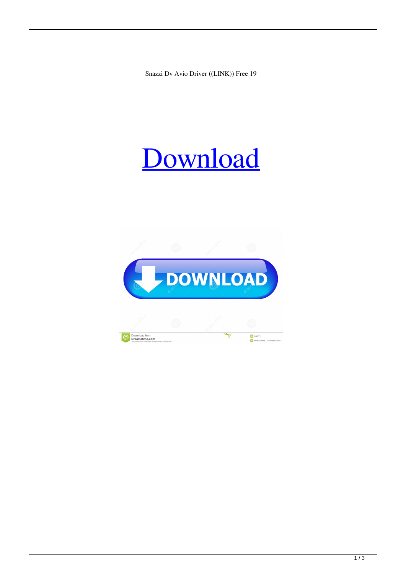Snazzi Dv Avio Driver ((LINK)) Free 19

## [Download](http://evacdir.com/limon/nitrocellulose/c25henppIGR2IGF2aW8gZHJpdmVyIGZyZWUgMTkc25.ffwc.ting=ZG93bmxvYWR8OUxETW1vME1ueDhNVFkxTkRNME5EZzROSHg4TWpVNE4zeDhLRTBwSUVobGNtOXJkU0JiUm1GemRDQkhSVTVk.verboten.legitimize)

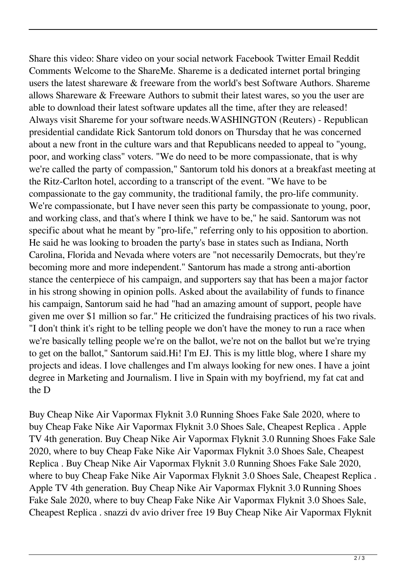Share this video: Share video on your social network Facebook Twitter Email Reddit Comments Welcome to the ShareMe. Shareme is a dedicated internet portal bringing users the latest shareware & freeware from the world's best Software Authors. Shareme allows Shareware & Freeware Authors to submit their latest wares, so you the user are able to download their latest software updates all the time, after they are released! Always visit Shareme for your software needs.WASHINGTON (Reuters) - Republican presidential candidate Rick Santorum told donors on Thursday that he was concerned about a new front in the culture wars and that Republicans needed to appeal to "young, poor, and working class" voters. "We do need to be more compassionate, that is why we're called the party of compassion," Santorum told his donors at a breakfast meeting at the Ritz-Carlton hotel, according to a transcript of the event. "We have to be compassionate to the gay community, the traditional family, the pro-life community. We're compassionate, but I have never seen this party be compassionate to young, poor, and working class, and that's where I think we have to be," he said. Santorum was not specific about what he meant by "pro-life," referring only to his opposition to abortion. He said he was looking to broaden the party's base in states such as Indiana, North Carolina, Florida and Nevada where voters are "not necessarily Democrats, but they're becoming more and more independent." Santorum has made a strong anti-abortion stance the centerpiece of his campaign, and supporters say that has been a major factor in his strong showing in opinion polls. Asked about the availability of funds to finance his campaign, Santorum said he had "had an amazing amount of support, people have given me over \$1 million so far." He criticized the fundraising practices of his two rivals. "I don't think it's right to be telling people we don't have the money to run a race when we're basically telling people we're on the ballot, we're not on the ballot but we're trying to get on the ballot," Santorum said.Hi! I'm EJ. This is my little blog, where I share my projects and ideas. I love challenges and I'm always looking for new ones. I have a joint degree in Marketing and Journalism. I live in Spain with my boyfriend, my fat cat and the D

Buy Cheap Nike Air Vapormax Flyknit 3.0 Running Shoes Fake Sale 2020, where to buy Cheap Fake Nike Air Vapormax Flyknit 3.0 Shoes Sale, Cheapest Replica . Apple TV 4th generation. Buy Cheap Nike Air Vapormax Flyknit 3.0 Running Shoes Fake Sale 2020, where to buy Cheap Fake Nike Air Vapormax Flyknit 3.0 Shoes Sale, Cheapest Replica . Buy Cheap Nike Air Vapormax Flyknit 3.0 Running Shoes Fake Sale 2020, where to buy Cheap Fake Nike Air Vapormax Flyknit 3.0 Shoes Sale, Cheapest Replica . Apple TV 4th generation. Buy Cheap Nike Air Vapormax Flyknit 3.0 Running Shoes Fake Sale 2020, where to buy Cheap Fake Nike Air Vapormax Flyknit 3.0 Shoes Sale, Cheapest Replica . snazzi dv avio driver free 19 Buy Cheap Nike Air Vapormax Flyknit